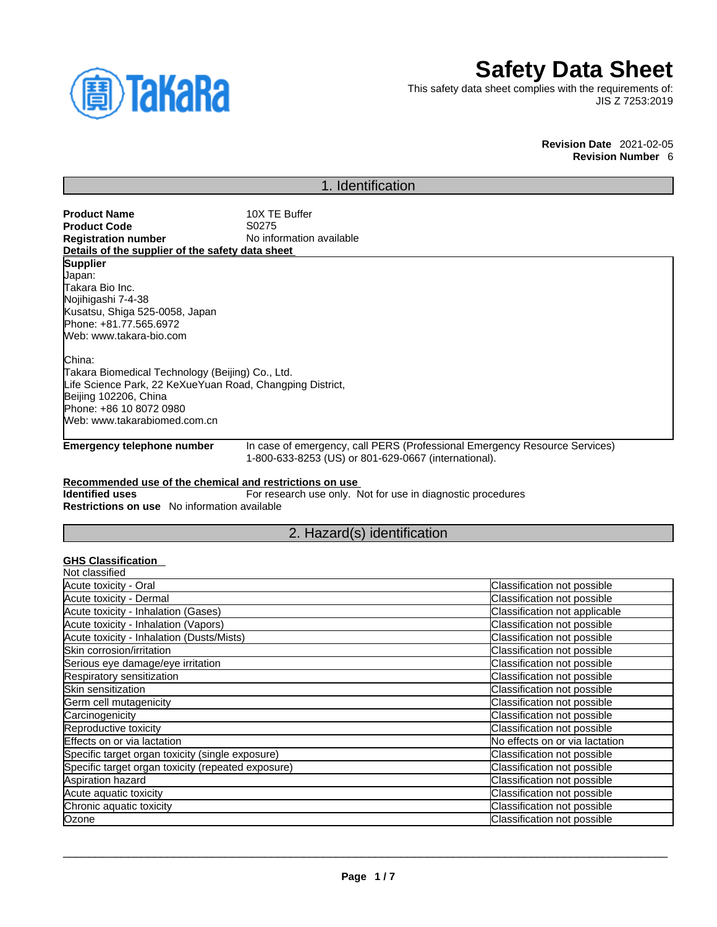

# **Safety Data Sheet**

This safety data sheet complies with the requirements of: JIS Z 7253:2019

> **Revision Date** 2021-02-05 **Revision Number** 6

# 1. Identification

| <b>Product Name</b>                              | 10X TE Buffer            |
|--------------------------------------------------|--------------------------|
| <b>Product Code</b>                              | S0275                    |
| <b>Registration number</b>                       | No information available |
| Details of the supplier of the safety data sheet |                          |
| Supplier                                         |                          |
| Uapan:                                           |                          |
| Takara Bio Inc.                                  |                          |
| Nojihigashi 7-4-38                               |                          |
| Kusatsu, Shiga 525-0058, Japan                   |                          |
| Phone: +81.77.565.6972                           |                          |
| Web: www.takara-bio.com                          |                          |
|                                                  |                          |
| China:                                           |                          |
| Takara Biomedical Technology (Beijing) Co., Ltd. |                          |

Takara Biomedical Technology (Beijing) Co., Ltd. Life Science Park, 22 KeXueYuan Road, Changping District, Beijing 102206, China Phone: +86 10 8072 0980 Web: www.takarabiomed.com.cn

**Emergency telephone number** In case of emergency, call PERS (Professional Emergency Resource Services) 1-800-633-8253 (US) or 801-629-0667 (international).

### **Recommended use of the chemical and restrictions on use**

**Identified uses** For research use only. Not for use in diagnostic procedures **Restrictions on use** No information available

# 2. Hazard(s) identification

## **GHS Classification**

| Classification not possible    |
|--------------------------------|
| Classification not possible    |
| Classification not applicable  |
| Classification not possible    |
| Classification not possible    |
| Classification not possible    |
| Classification not possible    |
| Classification not possible    |
| Classification not possible    |
| Classification not possible    |
| Classification not possible    |
| Classification not possible    |
| No effects on or via lactation |
| Classification not possible    |
| Classification not possible    |
| Classification not possible    |
| Classification not possible    |
| Classification not possible    |
| Classification not possible    |
|                                |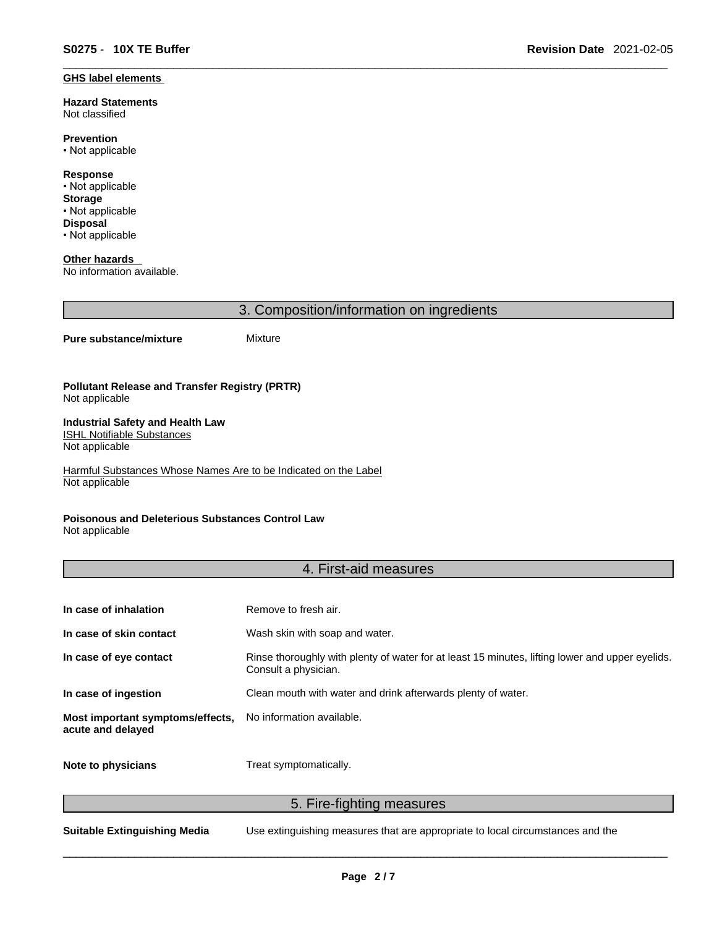#### **GHS label elements**

**Hazard Statements**  Not classified

**Prevention** • Not applicable

**Response** • Not applicable **Storage** • Not applicable **Disposal** • Not applicable

**Other hazards**  No information available.

3. Composition/information on ingredients

#### **Pure substance/mixture** Mixture

**Pollutant Release and Transfer Registry (PRTR)** Not applicable

#### **Industrial Safety and Health Law**  ISHL Notifiable Substances

Not applicable

Harmful Substances Whose Names Are to be Indicated on the Label Not applicable

### **Poisonous and Deleterious Substances Control Law**

Not applicable

### 4. First-aid measures

| In case of inhalation                                 | Remove to fresh air.                                                                                                    |
|-------------------------------------------------------|-------------------------------------------------------------------------------------------------------------------------|
| In case of skin contact                               | Wash skin with soap and water.                                                                                          |
| In case of eye contact                                | Rinse thoroughly with plenty of water for at least 15 minutes, lifting lower and upper eyelids.<br>Consult a physician. |
| In case of ingestion                                  | Clean mouth with water and drink afterwards plenty of water.                                                            |
| Most important symptoms/effects,<br>acute and delayed | No information available.                                                                                               |
| Note to physicians                                    | Treat symptomatically.                                                                                                  |

5. Fire-fighting measures

**Suitable Extinguishing Media** Use extinguishing measures that are appropriate to local circumstances and the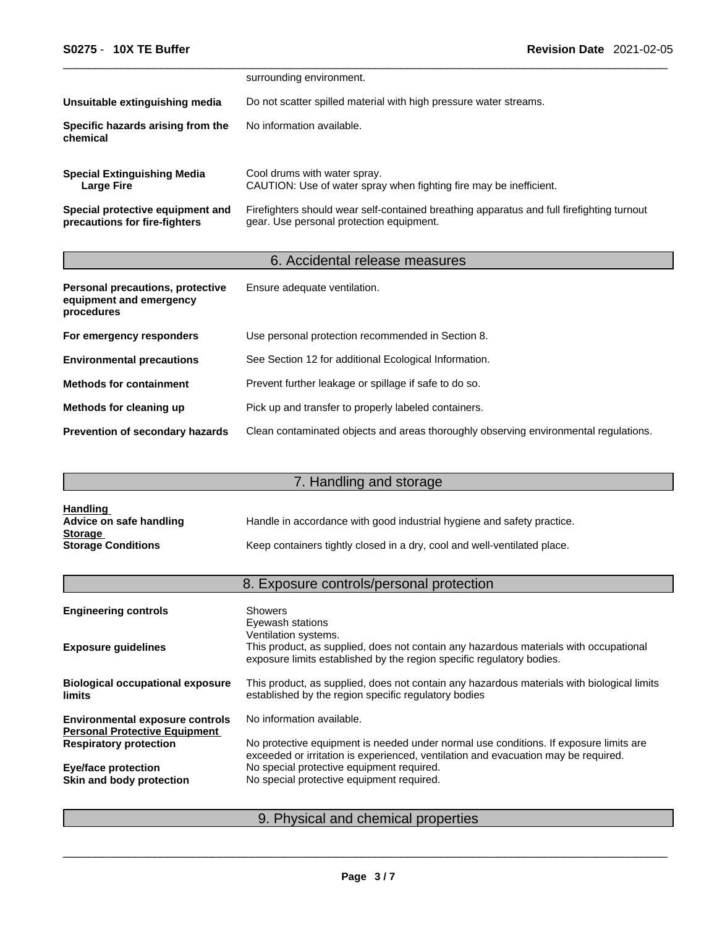|                                                                   | surrounding environment.                                                                                                              |
|-------------------------------------------------------------------|---------------------------------------------------------------------------------------------------------------------------------------|
| Unsuitable extinguishing media                                    | Do not scatter spilled material with high pressure water streams.                                                                     |
| Specific hazards arising from the<br>chemical                     | No information available.                                                                                                             |
| <b>Special Extinguishing Media</b><br>Large Fire                  | Cool drums with water spray.<br>CAUTION: Use of water spray when fighting fire may be inefficient.                                    |
| Special protective equipment and<br>precautions for fire-fighters | Firefighters should wear self-contained breathing apparatus and full firefighting turnout<br>gear. Use personal protection equipment. |

# 6. Accidental release measures

| Personal precautions, protective<br>equipment and emergency<br>procedures | Ensure adequate ventilation.                                                         |
|---------------------------------------------------------------------------|--------------------------------------------------------------------------------------|
| For emergency responders                                                  | Use personal protection recommended in Section 8.                                    |
| <b>Environmental precautions</b>                                          | See Section 12 for additional Ecological Information.                                |
| <b>Methods for containment</b>                                            | Prevent further leakage or spillage if safe to do so.                                |
| Methods for cleaning up                                                   | Pick up and transfer to properly labeled containers.                                 |
| <b>Prevention of secondary hazards</b>                                    | Clean contaminated objects and areas thoroughly observing environmental regulations. |

# 7. Handling and storage

| <b>Handling</b>           |                                                                          |
|---------------------------|--------------------------------------------------------------------------|
| Advice on safe handling   | Handle in accordance with good industrial hygiene and safety practice.   |
| <b>Storage</b>            |                                                                          |
| <b>Storage Conditions</b> | Keep containers tightly closed in a dry, cool and well-ventilated place. |

# 8. Exposure controls/personal protection

| <b>Engineering controls</b>                                                    | <b>Showers</b><br>Eyewash stations<br>Ventilation systems.                                                                                                                  |
|--------------------------------------------------------------------------------|-----------------------------------------------------------------------------------------------------------------------------------------------------------------------------|
| <b>Exposure guidelines</b>                                                     | This product, as supplied, does not contain any hazardous materials with occupational<br>exposure limits established by the region specific regulatory bodies.              |
| <b>Biological occupational exposure</b><br><b>limits</b>                       | This product, as supplied, does not contain any hazardous materials with biological limits<br>established by the region specific regulatory bodies                          |
| <b>Environmental exposure controls</b><br><b>Personal Protective Equipment</b> | No information available.                                                                                                                                                   |
| <b>Respiratory protection</b>                                                  | No protective equipment is needed under normal use conditions. If exposure limits are<br>exceeded or irritation is experienced, ventilation and evacuation may be required. |
| <b>Eye/face protection</b>                                                     | No special protective equipment required.                                                                                                                                   |
| Skin and body protection                                                       | No special protective equipment required.                                                                                                                                   |
|                                                                                |                                                                                                                                                                             |

# 9. Physical and chemical properties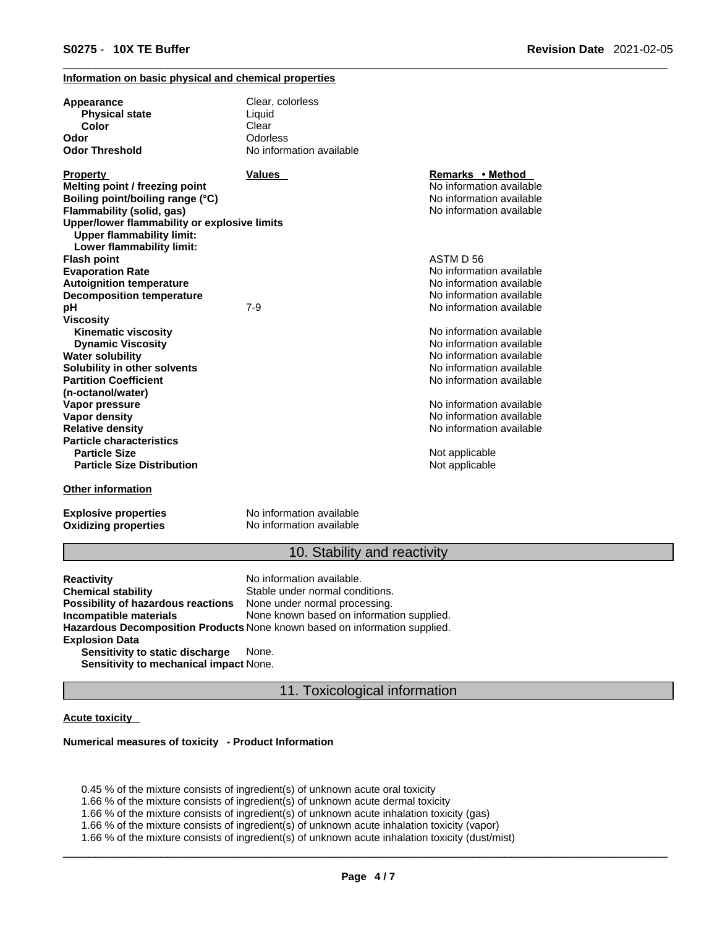### **Information on basic physical and chemical properties**

| Appearance<br><b>Physical state</b>          | Clear, colorless<br>Liquid |                          |
|----------------------------------------------|----------------------------|--------------------------|
| Color                                        | Clear                      |                          |
| Odor                                         | Odorless                   |                          |
| <b>Odor Threshold</b>                        | No information available   |                          |
| <b>Property</b>                              | Values                     | Remarks • Method         |
| Melting point / freezing point               |                            | No information available |
| Boiling point/boiling range (°C)             |                            | No information available |
| Flammability (solid, gas)                    |                            | No information available |
| Upper/lower flammability or explosive limits |                            |                          |
| <b>Upper flammability limit:</b>             |                            |                          |
| Lower flammability limit:                    |                            |                          |
| <b>Flash point</b>                           |                            | ASTM D 56                |
| <b>Evaporation Rate</b>                      |                            | No information available |
| <b>Autoignition temperature</b>              |                            | No information available |
| <b>Decomposition temperature</b>             |                            | No information available |
| рH                                           | $7 - 9$                    | No information available |
| <b>Viscosity</b>                             |                            |                          |
| <b>Kinematic viscosity</b>                   |                            | No information available |
| <b>Dynamic Viscosity</b>                     |                            | No information available |
| <b>Water solubility</b>                      |                            | No information available |
| Solubility in other solvents                 |                            | No information available |
| <b>Partition Coefficient</b>                 |                            | No information available |
| (n-octanol/water)                            |                            |                          |
| Vapor pressure                               |                            | No information available |
| <b>Vapor density</b>                         |                            | No information available |
| <b>Relative density</b>                      |                            | No information available |
| <b>Particle characteristics</b>              |                            |                          |
| <b>Particle Size</b>                         |                            | Not applicable           |
| <b>Particle Size Distribution</b>            |                            | Not applicable           |
| <b>Other information</b>                     |                            |                          |
| <b>Explosive properties</b>                  | No information available   |                          |

**Oxidizing properties** No information available

### 10. Stability and reactivity

**Reactivity Reactivity Reactivity Chemical stability No information available.**<br> **Chemical stability Reaction** Stable under normal cond Stable under normal conditions.<br>None under normal processing. **Possibility of hazardous reactions Incompatible materials** None known based on information supplied. **Hazardous Decomposition Products** None known based on information supplied. **Explosion Data Sensitivity to static discharge** None.

**Sensitivity to mechanical impact** None.

### 11. Toxicological information

### **Acute toxicity**

#### **Numerical measures of toxicity - Product Information**

0.45 % of the mixture consists of ingredient(s) of unknown acute oral toxicity

1.66 % of the mixture consists of ingredient(s) of unknown acute dermal toxicity

1.66 % of the mixture consists of ingredient(s) of unknown acute inhalation toxicity (gas)

1.66 % of the mixture consists of ingredient(s) ofunknown acute inhalation toxicity (vapor)

1.66 % of the mixture consists of ingredient(s) of unknown acute inhalation toxicity (dust/mist)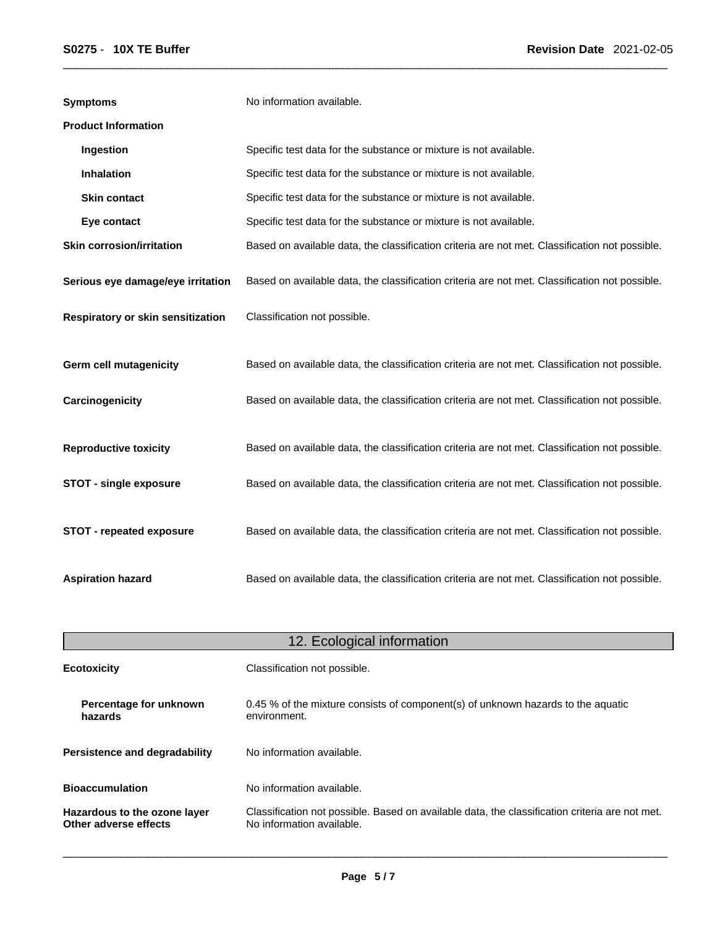| <b>Symptoms</b>                   | No information available.                                                                      |
|-----------------------------------|------------------------------------------------------------------------------------------------|
| <b>Product Information</b>        |                                                                                                |
| Ingestion                         | Specific test data for the substance or mixture is not available.                              |
| <b>Inhalation</b>                 | Specific test data for the substance or mixture is not available.                              |
| <b>Skin contact</b>               | Specific test data for the substance or mixture is not available.                              |
| Eye contact                       | Specific test data for the substance or mixture is not available.                              |
| <b>Skin corrosion/irritation</b>  | Based on available data, the classification criteria are not met. Classification not possible. |
| Serious eye damage/eye irritation | Based on available data, the classification criteria are not met. Classification not possible. |
| Respiratory or skin sensitization | Classification not possible.                                                                   |
| <b>Germ cell mutagenicity</b>     | Based on available data, the classification criteria are not met. Classification not possible. |
| Carcinogenicity                   | Based on available data, the classification criteria are not met. Classification not possible. |
| <b>Reproductive toxicity</b>      | Based on available data, the classification criteria are not met. Classification not possible. |
| <b>STOT - single exposure</b>     | Based on available data, the classification criteria are not met. Classification not possible. |
| STOT - repeated exposure          | Based on available data, the classification criteria are not met. Classification not possible. |
| <b>Aspiration hazard</b>          | Based on available data, the classification criteria are not met. Classification not possible. |

| 12. Ecological information                            |                                                                                                                             |  |
|-------------------------------------------------------|-----------------------------------------------------------------------------------------------------------------------------|--|
| <b>Ecotoxicity</b>                                    | Classification not possible.                                                                                                |  |
| Percentage for unknown<br>hazards                     | 0.45 % of the mixture consists of component(s) of unknown hazards to the aquatic<br>environment.                            |  |
| Persistence and degradability                         | No information available.                                                                                                   |  |
| <b>Bioaccumulation</b>                                | No information available.                                                                                                   |  |
| Hazardous to the ozone layer<br>Other adverse effects | Classification not possible. Based on available data, the classification criteria are not met.<br>No information available. |  |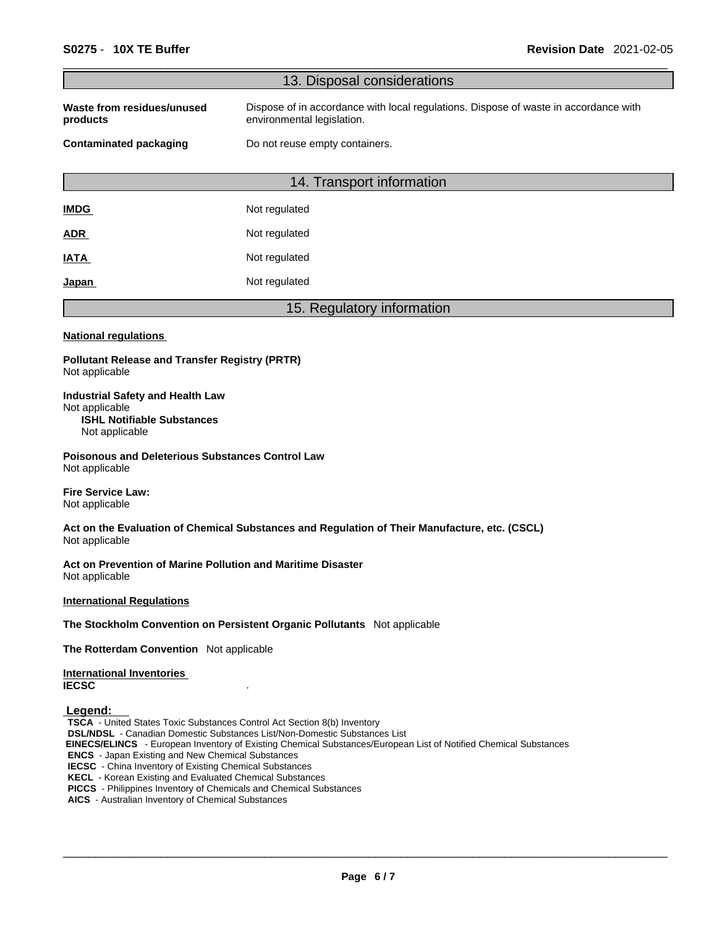|                                                                                                                                                                                                                                                                                                                                                                                                                                                                                                      | 13. Disposal considerations                                                                                        |
|------------------------------------------------------------------------------------------------------------------------------------------------------------------------------------------------------------------------------------------------------------------------------------------------------------------------------------------------------------------------------------------------------------------------------------------------------------------------------------------------------|--------------------------------------------------------------------------------------------------------------------|
| Waste from residues/unused<br>products                                                                                                                                                                                                                                                                                                                                                                                                                                                               | Dispose of in accordance with local regulations. Dispose of waste in accordance with<br>environmental legislation. |
| <b>Contaminated packaging</b>                                                                                                                                                                                                                                                                                                                                                                                                                                                                        | Do not reuse empty containers.                                                                                     |
|                                                                                                                                                                                                                                                                                                                                                                                                                                                                                                      | 14. Transport information                                                                                          |
| <b>IMDG</b>                                                                                                                                                                                                                                                                                                                                                                                                                                                                                          | Not regulated                                                                                                      |
| <u>ADR</u>                                                                                                                                                                                                                                                                                                                                                                                                                                                                                           | Not regulated                                                                                                      |
| IATA                                                                                                                                                                                                                                                                                                                                                                                                                                                                                                 | Not regulated                                                                                                      |
| <u>Japan</u>                                                                                                                                                                                                                                                                                                                                                                                                                                                                                         | Not regulated                                                                                                      |
|                                                                                                                                                                                                                                                                                                                                                                                                                                                                                                      | 15. Regulatory information                                                                                         |
| <b>National regulations</b>                                                                                                                                                                                                                                                                                                                                                                                                                                                                          |                                                                                                                    |
| <b>Pollutant Release and Transfer Registry (PRTR)</b><br>Not applicable                                                                                                                                                                                                                                                                                                                                                                                                                              |                                                                                                                    |
| <b>Industrial Safety and Health Law</b><br>Not applicable<br><b>ISHL Notifiable Substances</b><br>Not applicable                                                                                                                                                                                                                                                                                                                                                                                     |                                                                                                                    |
| <b>Poisonous and Deleterious Substances Control Law</b><br>Not applicable                                                                                                                                                                                                                                                                                                                                                                                                                            |                                                                                                                    |
| <b>Fire Service Law:</b><br>Not applicable                                                                                                                                                                                                                                                                                                                                                                                                                                                           |                                                                                                                    |
| Not applicable                                                                                                                                                                                                                                                                                                                                                                                                                                                                                       | Act on the Evaluation of Chemical Substances and Regulation of Their Manufacture, etc. (CSCL)                      |
| Act on Prevention of Marine Pollution and Maritime Disaster<br>Not applicable                                                                                                                                                                                                                                                                                                                                                                                                                        |                                                                                                                    |
| <b>International Regulations</b>                                                                                                                                                                                                                                                                                                                                                                                                                                                                     |                                                                                                                    |
|                                                                                                                                                                                                                                                                                                                                                                                                                                                                                                      | The Stockholm Convention on Persistent Organic Pollutants Not applicable                                           |
| The Rotterdam Convention Not applicable                                                                                                                                                                                                                                                                                                                                                                                                                                                              |                                                                                                                    |
| <b>International Inventories</b><br><b>IECSC</b>                                                                                                                                                                                                                                                                                                                                                                                                                                                     |                                                                                                                    |
| Legend:<br>TSCA - United States Toxic Substances Control Act Section 8(b) Inventory<br><b>DSL/NDSL</b> - Canadian Domestic Substances List/Non-Domestic Substances List<br><b>ENCS</b> - Japan Existing and New Chemical Substances<br><b>IECSC</b> - China Inventory of Existing Chemical Substances<br><b>KECL</b> - Korean Existing and Evaluated Chemical Substances<br>PICCS - Philippines Inventory of Chemicals and Chemical Substances<br>AICS - Australian Inventory of Chemical Substances | EINECS/ELINCS - European Inventory of Existing Chemical Substances/European List of Notified Chemical Substances   |